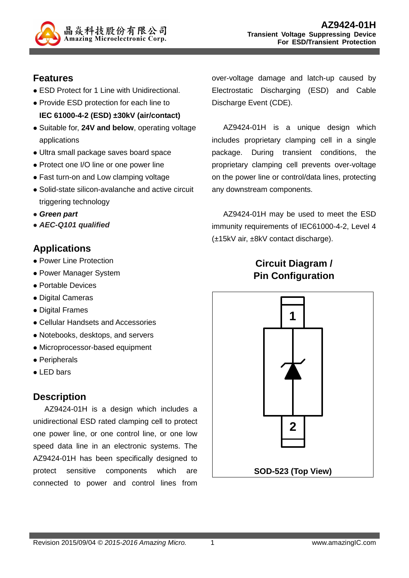

### **Features**

- ESD Protect for 1 Line with Unidirectional.
- Provide ESD protection for each line to **IEC 61000-4-2 (ESD) ±30kV (air/contact)**
- Suitable for, **24V and below**, operating voltage applications
- Ultra small package saves board space
- Protect one I/O line or one power line
- Fast turn-on and Low clamping voltage
- Solid-state silicon-avalanche and active circuit triggering technology
- **Green part**
- **AEC-Q101 qualified**

## **Applications**

- Power Line Protection
- Power Manager System
- Portable Devices
- Digital Cameras
- Digital Frames
- Cellular Handsets and Accessories
- Notebooks, desktops, and servers
- Microprocessor-based equipment
- Peripherals
- LED bars

#### **Description**

AZ9424-01H is a design which includes a unidirectional ESD rated clamping cell to protect one power line, or one control line, or one low speed data line in an electronic systems. The AZ9424-01H has been specifically designed to protect sensitive components which are connected to power and control lines from

over-voltage damage and latch-up caused by Electrostatic Discharging (ESD) and Cable Discharge Event (CDE).

AZ9424-01H is a unique design which includes proprietary clamping cell in a single package. During transient conditions, the proprietary clamping cell prevents over-voltage on the power line or control/data lines, protecting any downstream components.

AZ9424-01H may be used to meet the ESD immunity requirements of IEC61000-4-2, Level 4 (±15kV air, ±8kV contact discharge).

# **Circuit Diagram / Pin Configuration**

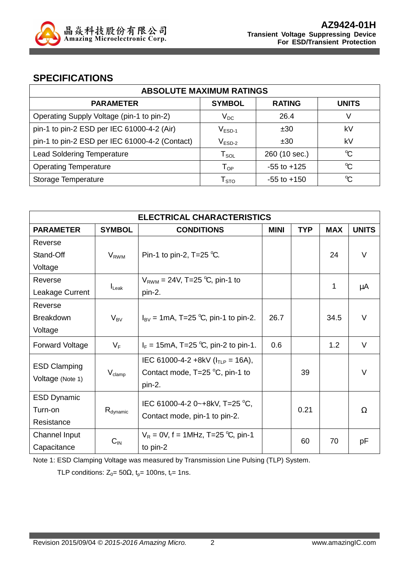

#### **SPECIFICATIONS**

| <b>ABSOLUTE MAXIMUM RATINGS</b>                |                            |                 |              |
|------------------------------------------------|----------------------------|-----------------|--------------|
| <b>PARAMETER</b>                               | <b>SYMBOL</b>              | <b>RATING</b>   | <b>UNITS</b> |
| Operating Supply Voltage (pin-1 to pin-2)      | $V_{DC}$                   | 26.4            | V            |
| pin-1 to pin-2 ESD per IEC 61000-4-2 (Air)     | $V_{ESD-1}$                | ±30             | kV           |
| pin-1 to pin-2 ESD per IEC 61000-4-2 (Contact) | $V_{ESD-2}$                | ±30             | kV           |
| <b>Lead Soldering Temperature</b>              | ${\sf T}_{\sf SOL}$        | 260 (10 sec.)   | °C           |
| <b>Operating Temperature</b>                   | $\mathsf{T}_{\mathsf{OP}}$ | $-55$ to $+125$ | $\mathrm{C}$ |
| Storage Temperature                            | ${\mathsf T}_{\text{STO}}$ | $-55$ to $+150$ | $\mathrm{C}$ |

| <b>ELECTRICAL CHARACTERISTICS</b>       |                      |                                                                                               |             |            |            |              |
|-----------------------------------------|----------------------|-----------------------------------------------------------------------------------------------|-------------|------------|------------|--------------|
| <b>PARAMETER</b>                        | <b>SYMBOL</b>        | <b>CONDITIONS</b>                                                                             | <b>MINI</b> | <b>TYP</b> | <b>MAX</b> | <b>UNITS</b> |
| Reverse                                 |                      |                                                                                               |             |            |            |              |
| Stand-Off                               | $V_{RWM}$            | Pin-1 to pin-2, T=25 $^{\circ}$ C.                                                            |             |            | 24         | V            |
| Voltage                                 |                      |                                                                                               |             |            |            |              |
| Reverse                                 |                      | $V_{RWM} = 24V$ , T=25 °C, pin-1 to                                                           |             |            |            |              |
| Leakage Current                         | $I_{\text{Leak}}$    | pin-2.                                                                                        |             |            | 1          | μA           |
| Reverse                                 |                      |                                                                                               |             |            |            |              |
| <b>Breakdown</b>                        | $V_{BV}$             | $I_{\rm BV}$ = 1mA, T=25 °C, pin-1 to pin-2.                                                  | 26.7        |            | 34.5       | $\vee$       |
| Voltage                                 |                      |                                                                                               |             |            |            |              |
| <b>Forward Voltage</b>                  | $V_F$                | $I_F = 15 \text{mA}$ , T=25 °C, pin-2 to pin-1.                                               | 0.6         |            | 1.2        | V            |
| <b>ESD Clamping</b><br>Voltage (Note 1) | $V_{\text{clamp}}$   | IEC 61000-4-2 +8kV ( $I_{TLP}$ = 16A),<br>Contact mode, $T=25\text{ °C}$ , pin-1 to<br>pin-2. |             | 39         |            | $\vee$       |
| <b>ESD Dynamic</b>                      |                      | IEC 61000-4-2 0~+8kV, T=25 °C,                                                                |             |            |            |              |
| Turn-on                                 | $R_{\text{dynamic}}$ | Contact mode, pin-1 to pin-2.                                                                 |             | 0.21       |            | Ω            |
| Resistance                              |                      |                                                                                               |             |            |            |              |
| Channel Input                           |                      | $V_R = 0V$ , f = 1MHz, T=25 °C, pin-1                                                         |             |            |            |              |
| Capacitance                             | $C_{\text{IN}}$      | to pin-2                                                                                      |             | 60         | 70         | рF           |

Note 1: ESD Clamping Voltage was measured by Transmission Line Pulsing (TLP) System.

TLP conditions:  $Z_0 = 50\Omega$ ,  $t_p = 100$ ns,  $t_r = 1$ ns.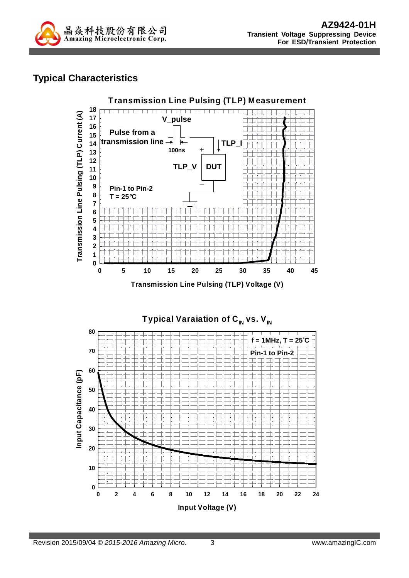

# **Typical Characteristics**



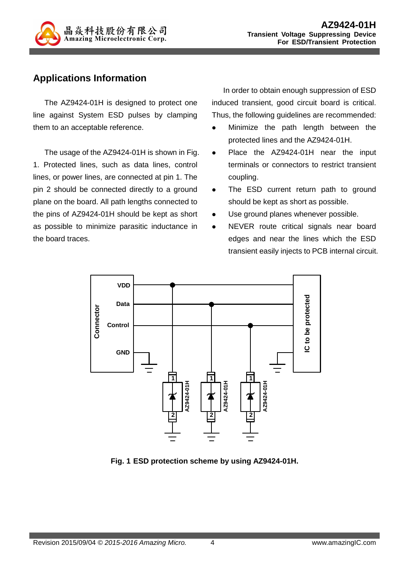

## **Applications Information**

The AZ9424-01H is designed to protect one line against System ESD pulses by clamping them to an acceptable reference.

The usage of the AZ9424-01H is shown in Fig. 1. Protected lines, such as data lines, control lines, or power lines, are connected at pin 1. The pin 2 should be connected directly to a ground plane on the board. All path lengths connected to the pins of AZ9424-01H should be kept as short as possible to minimize parasitic inductance in the board traces.

In order to obtain enough suppression of ESD induced transient, good circuit board is critical. Thus, the following guidelines are recommended:

- Minimize the path length between the protected lines and the AZ9424-01H.
- Place the AZ9424-01H near the input terminals or connectors to restrict transient coupling.
- The ESD current return path to ground should be kept as short as possible.
- Use ground planes whenever possible.
- NEVER route critical signals near board edges and near the lines which the ESD transient easily injects to PCB internal circuit.



**Fig. 1 ESD protection scheme by using AZ9424-01H.**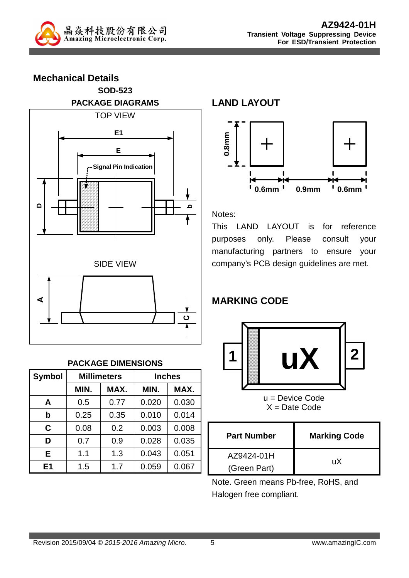

**Mechanical Details SOD-523 PACKAGE DIAGRAMS**  TOP VIEW **DbE E1 Signal Pin Indication** SIDE VIEW **A C**

#### **PACKAGE DIMENSIONS**

| <b>Symbol</b>  |      | <b>Millimeters</b> | <b>Inches</b> |       |  |
|----------------|------|--------------------|---------------|-------|--|
|                | MIN. | MAX.               | MIN.          | MAX.  |  |
| A              | 0.5  | 0.77               | 0.020         | 0.030 |  |
| b              | 0.25 | 0.35               | 0.010         | 0.014 |  |
| C              | 0.08 | 0.2                | 0.003         | 0.008 |  |
| D              | 0.7  | 0.9                | 0.028         | 0.035 |  |
| Е              | 1.1  | 1.3                | 0.043         | 0.051 |  |
| E <sub>1</sub> | 1.5  | 1.7                | 0.059         | 0.067 |  |

**LAND LAYOUT**



#### Notes:

This LAND LAYOUT is for reference purposes only. Please consult your manufacturing partners to ensure your company's PCB design guidelines are met.

# **MARKING CODE**



u = Device Code  $X =$  Date Code

| <b>Part Number</b> | <b>Marking Code</b> |  |
|--------------------|---------------------|--|
| AZ9424-01H         | uХ                  |  |
| (Green Part)       |                     |  |

Note. Green means Pb-free, RoHS, and Halogen free compliant.